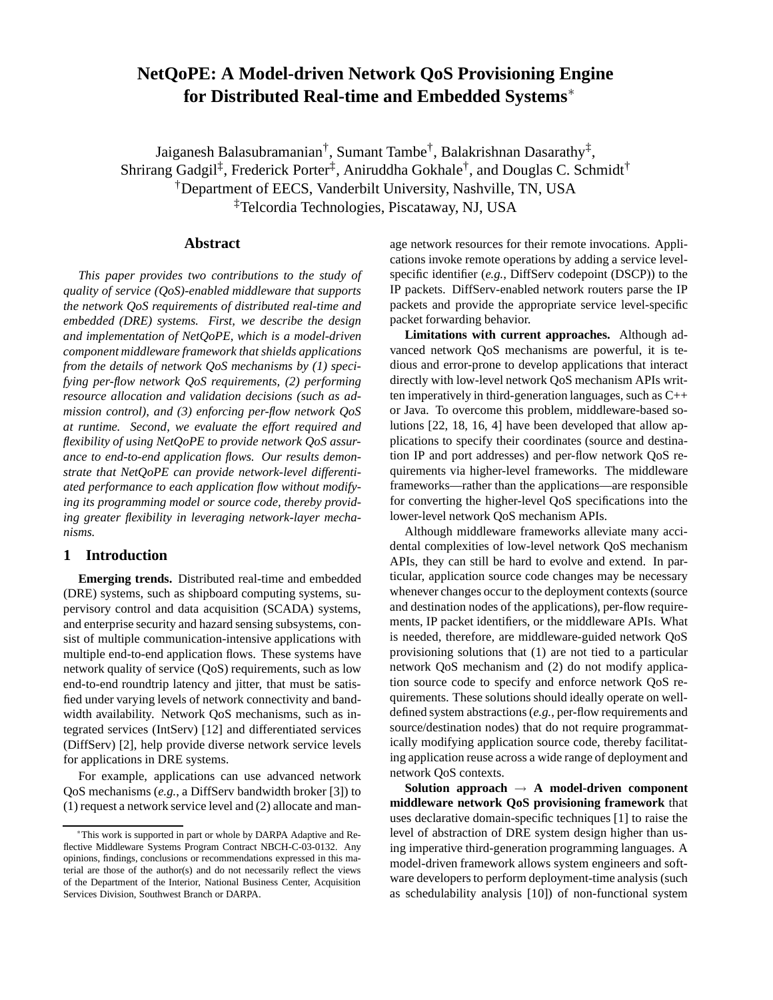# **NetQoPE: A Model-driven Network QoS Provisioning Engine for Distributed Real-time and Embedded Systems**<sup>∗</sup>

Jaiganesh Balasubramanian†, Sumant Tambe†, Balakrishnan Dasarathy‡, Shrirang Gadgil<sup>‡</sup>, Frederick Porter<sup>‡</sup>, Aniruddha Gokhale<sup>†</sup>, and Douglas C. Schmidt<sup>†</sup> †Department of EECS, Vanderbilt University, Nashville, TN, USA ‡Telcordia Technologies, Piscataway, NJ, USA

# **Abstract**

*This paper provides two contributions to the study of quality of service (QoS)-enabled middleware that supports the network QoS requirements of distributed real-time and embedded (DRE) systems. First, we describe the design and implementation of NetQoPE, which is a model-driven component middleware framework that shields applications from the details of network QoS mechanisms by (1) specifying per-flow network QoS requirements, (2) performing resource allocation and validation decisions (such as admission control), and (3) enforcing per-flow network QoS at runtime. Second, we evaluate the effort required and flexibility of using NetQoPE to provide network QoS assurance to end-to-end application flows. Our results demonstrate that NetQoPE can provide network-level differentiated performance to each application flow without modifying its programming model or source code, thereby providing greater flexibility in leveraging network-layer mechanisms.*

## **1 Introduction**

**Emerging trends.** Distributed real-time and embedded (DRE) systems, such as shipboard computing systems, supervisory control and data acquisition (SCADA) systems, and enterprise security and hazard sensing subsystems, consist of multiple communication-intensive applications with multiple end-to-end application flows. These systems have network quality of service (QoS) requirements, such as low end-to-end roundtrip latency and jitter, that must be satisfied under varying levels of network connectivity and bandwidth availability. Network QoS mechanisms, such as integrated services (IntServ) [12] and differentiated services (DiffServ) [2], help provide diverse network service levels for applications in DRE systems.

For example, applications can use advanced network QoS mechanisms (*e.g.*, a DiffServ bandwidth broker [3]) to (1) request a network service level and (2) allocate and manage network resources for their remote invocations. Applications invoke remote operations by adding a service levelspecific identifier (*e.g.*, DiffServ codepoint (DSCP)) to the IP packets. DiffServ-enabled network routers parse the IP packets and provide the appropriate service level-specific packet forwarding behavior.

**Limitations with current approaches.** Although advanced network QoS mechanisms are powerful, it is tedious and error-prone to develop applications that interact directly with low-level network QoS mechanism APIs written imperatively in third-generation languages, such as C++ or Java. To overcome this problem, middleware-based solutions [22, 18, 16, 4] have been developed that allow applications to specify their coordinates (source and destination IP and port addresses) and per-flow network QoS requirements via higher-level frameworks. The middleware frameworks—rather than the applications—are responsible for converting the higher-level QoS specifications into the lower-level network QoS mechanism APIs.

Although middleware frameworks alleviate many accidental complexities of low-level network QoS mechanism APIs, they can still be hard to evolve and extend. In particular, application source code changes may be necessary whenever changes occur to the deployment contexts(source and destination nodes of the applications), per-flow requirements, IP packet identifiers, or the middleware APIs. What is needed, therefore, are middleware-guided network QoS provisioning solutions that (1) are not tied to a particular network QoS mechanism and (2) do not modify application source code to specify and enforce network QoS requirements. These solutions should ideally operate on welldefined system abstractions(*e.g.*, per-flow requirements and source/destination nodes) that do not require programmatically modifying application source code, thereby facilitating application reuse across a wide range of deployment and network QoS contexts.

**Solution approach** → **A model-driven component middleware network QoS provisioning framework** that uses declarative domain-specific techniques [1] to raise the level of abstraction of DRE system design higher than using imperative third-generation programming languages. A model-driven framework allows system engineers and software developers to perform deployment-time analysis (such as schedulability analysis [10]) of non-functional system

<sup>∗</sup>This work is supported in part or whole by DARPA Adaptive and Reflective Middleware Systems Program Contract NBCH-C-03-0132. Any opinions, findings, conclusions or recommendations expressed in this material are those of the author(s) and do not necessarily reflect the views of the Department of the Interior, National Business Center, Acquisition Services Division, Southwest Branch or DARPA.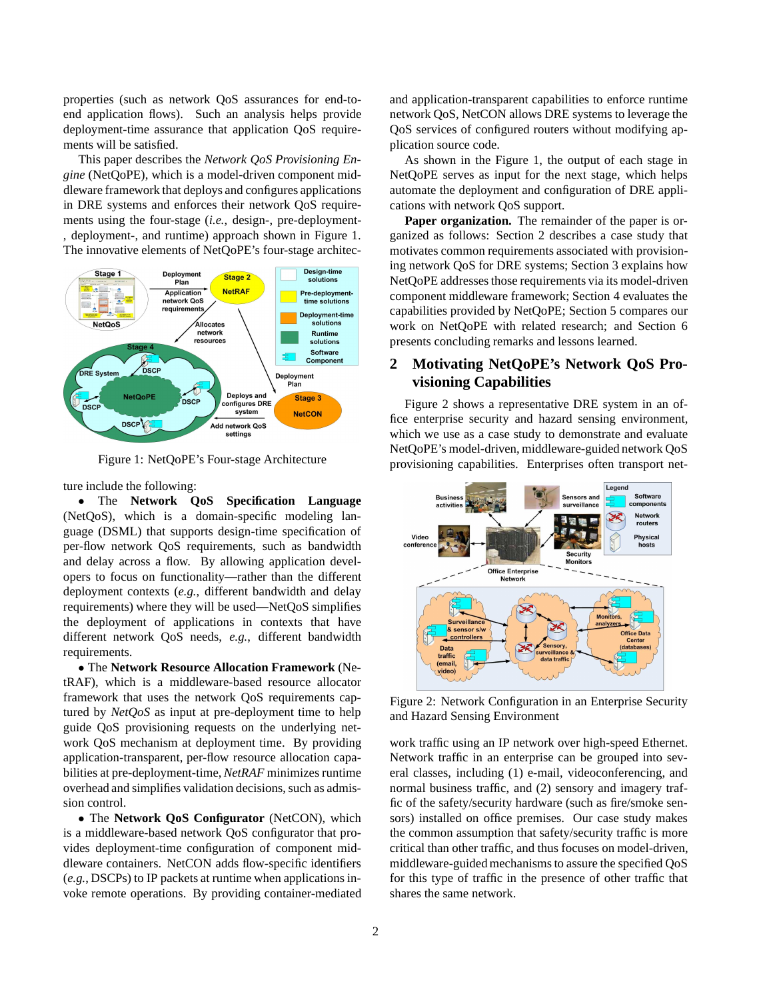properties (such as network QoS assurances for end-toend application flows). Such an analysis helps provide deployment-time assurance that application QoS requirements will be satisfied.

This paper describes the *Network QoS Provisioning Engine* (NetQoPE), which is a model-driven component middleware framework that deploys and configures applications in DRE systems and enforces their network QoS requirements using the four-stage (*i.e.*, design-, pre-deployment- , deployment-, and runtime) approach shown in Figure 1. The innovative elements of NetQoPE's four-stage architec-



Figure 1: NetQoPE's Four-stage Architecture

ture include the following:

• The **Network QoS Specification Language** (NetQoS), which is a domain-specific modeling language (DSML) that supports design-time specification of per-flow network QoS requirements, such as bandwidth and delay across a flow. By allowing application developers to focus on functionality—rather than the different deployment contexts (*e.g.*, different bandwidth and delay requirements) where they will be used—NetQoS simplifies the deployment of applications in contexts that have different network QoS needs, *e.g.*, different bandwidth requirements.

• The **Network Resource Allocation Framework** (NetRAF), which is a middleware-based resource allocator framework that uses the network QoS requirements captured by *NetQoS* as input at pre-deployment time to help guide QoS provisioning requests on the underlying network QoS mechanism at deployment time. By providing application-transparent, per-flow resource allocation capabilities at pre-deployment-time, *NetRAF* minimizes runtime overhead and simplifies validation decisions, such as admission control.

• The **Network QoS Configurator** (NetCON), which is a middleware-based network QoS configurator that provides deployment-time configuration of component middleware containers. NetCON adds flow-specific identifiers (*e.g.*, DSCPs) to IP packets at runtime when applications invoke remote operations. By providing container-mediated and application-transparent capabilities to enforce runtime network QoS, NetCON allows DRE systems to leverage the QoS services of configured routers without modifying application source code.

As shown in the Figure 1, the output of each stage in NetQoPE serves as input for the next stage, which helps automate the deployment and configuration of DRE applications with network QoS support.

**Paper organization.** The remainder of the paper is organized as follows: Section 2 describes a case study that motivates common requirements associated with provisioning network QoS for DRE systems; Section 3 explains how NetQoPE addresses those requirements via its model-driven component middleware framework; Section 4 evaluates the capabilities provided by NetQoPE; Section 5 compares our work on NetQoPE with related research; and Section 6 presents concluding remarks and lessons learned.

# **2 Motivating NetQoPE's Network QoS Provisioning Capabilities**

Figure 2 shows a representative DRE system in an office enterprise security and hazard sensing environment, which we use as a case study to demonstrate and evaluate NetQoPE's model-driven, middleware-guided network QoS provisioning capabilities. Enterprises often transport net-



Figure 2: Network Configuration in an Enterprise Security and Hazard Sensing Environment

work traffic using an IP network over high-speed Ethernet. Network traffic in an enterprise can be grouped into several classes, including (1) e-mail, videoconferencing, and normal business traffic, and (2) sensory and imagery traffic of the safety/security hardware (such as fire/smoke sensors) installed on office premises. Our case study makes the common assumption that safety/security traffic is more critical than other traffic, and thus focuses on model-driven, middleware-guidedmechanismsto assure the specified QoS for this type of traffic in the presence of other traffic that shares the same network.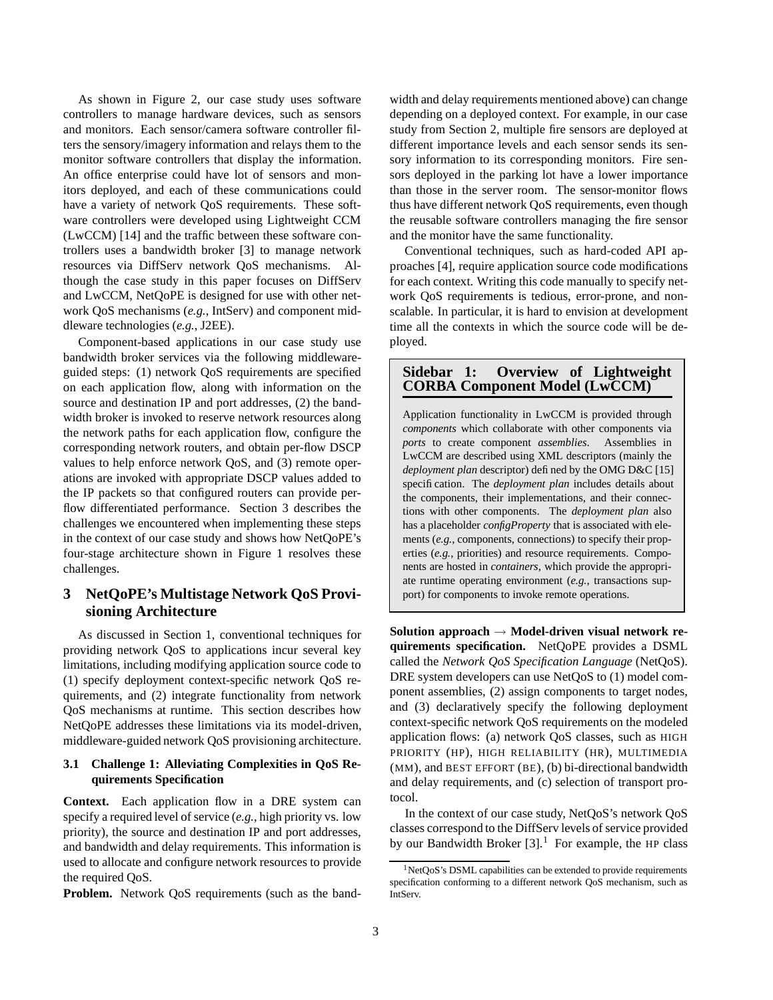As shown in Figure 2, our case study uses software controllers to manage hardware devices, such as sensors and monitors. Each sensor/camera software controller filters the sensory/imagery information and relays them to the monitor software controllers that display the information. An office enterprise could have lot of sensors and monitors deployed, and each of these communications could have a variety of network QoS requirements. These software controllers were developed using Lightweight CCM (LwCCM) [14] and the traffic between these software controllers uses a bandwidth broker [3] to manage network resources via DiffServ network QoS mechanisms. Although the case study in this paper focuses on DiffServ and LwCCM, NetQoPE is designed for use with other network QoS mechanisms (*e.g.*, IntServ) and component middleware technologies (*e.g.*, J2EE).

Component-based applications in our case study use bandwidth broker services via the following middlewareguided steps: (1) network QoS requirements are specified on each application flow, along with information on the source and destination IP and port addresses, (2) the bandwidth broker is invoked to reserve network resources along the network paths for each application flow, configure the corresponding network routers, and obtain per-flow DSCP values to help enforce network QoS, and (3) remote operations are invoked with appropriate DSCP values added to the IP packets so that configured routers can provide perflow differentiated performance. Section 3 describes the challenges we encountered when implementing these steps in the context of our case study and shows how NetQoPE's four-stage architecture shown in Figure 1 resolves these challenges.

# **3 NetQoPE's Multistage Network QoS Provisioning Architecture**

As discussed in Section 1, conventional techniques for providing network QoS to applications incur several key limitations, including modifying application source code to (1) specify deployment context-specific network QoS requirements, and (2) integrate functionality from network QoS mechanisms at runtime. This section describes how NetQoPE addresses these limitations via its model-driven, middleware-guided network QoS provisioning architecture.

## **3.1 Challenge 1: Alleviating Complexities in QoS Requirements Specification**

**Context.** Each application flow in a DRE system can specify a required level of service (*e.g.*, high priority vs. low priority), the source and destination IP and port addresses, and bandwidth and delay requirements. This information is used to allocate and configure network resources to provide the required QoS.

**Problem.** Network QoS requirements (such as the band-

width and delay requirements mentioned above) can change depending on a deployed context. For example, in our case study from Section 2, multiple fire sensors are deployed at different importance levels and each sensor sends its sensory information to its corresponding monitors. Fire sensors deployed in the parking lot have a lower importance than those in the server room. The sensor-monitor flows thus have different network QoS requirements, even though the reusable software controllers managing the fire sensor and the monitor have the same functionality.

Conventional techniques, such as hard-coded API approaches [4], require application source code modifications for each context. Writing this code manually to specify network QoS requirements is tedious, error-prone, and nonscalable. In particular, it is hard to envision at development time all the contexts in which the source code will be deployed.

# **Sidebar 1: Overview of Lightweight CORBA Component Model (LwCCM)**

Application functionality in LwCCM is provided through *components* which collaborate with other components via *ports* to create component *assemblies*. Assemblies in LwCCM are described using XML descriptors (mainly the *deployment plan* descriptor) defined by the OMG D&C [15] specification. The *deployment plan* includes details about the components, their implementations, and their connections with other components. The *deployment plan* also has a placeholder *configProperty* that is associated with elements (*e.g.*, components, connections) to specify their properties (*e.g.*, priorities) and resource requirements. Components are hosted in *containers*, which provide the appropriate runtime operating environment (*e.g.*, transactions support) for components to invoke remote operations.

**Solution approach** → **Model-driven visual network requirements specification.** NetQoPE provides a DSML called the *Network QoS Specification Language* (NetQoS). DRE system developers can use NetQoS to (1) model component assemblies, (2) assign components to target nodes, and (3) declaratively specify the following deployment context-specific network QoS requirements on the modeled application flows: (a) network QoS classes, such as HIGH PRIORITY (HP), HIGH RELIABILITY (HR), MULTIMEDIA (MM), and BEST EFFORT (BE), (b) bi-directional bandwidth and delay requirements, and (c) selection of transport protocol.

In the context of our case study, NetQoS's network QoS classes correspond to the DiffServ levels of service provided by our Bandwidth Broker  $[3]$ .<sup>1</sup> For example, the HP class

<sup>&</sup>lt;sup>1</sup>NetQoS's DSML capabilities can be extended to provide requirements specification conforming to a different network QoS mechanism, such as IntServ.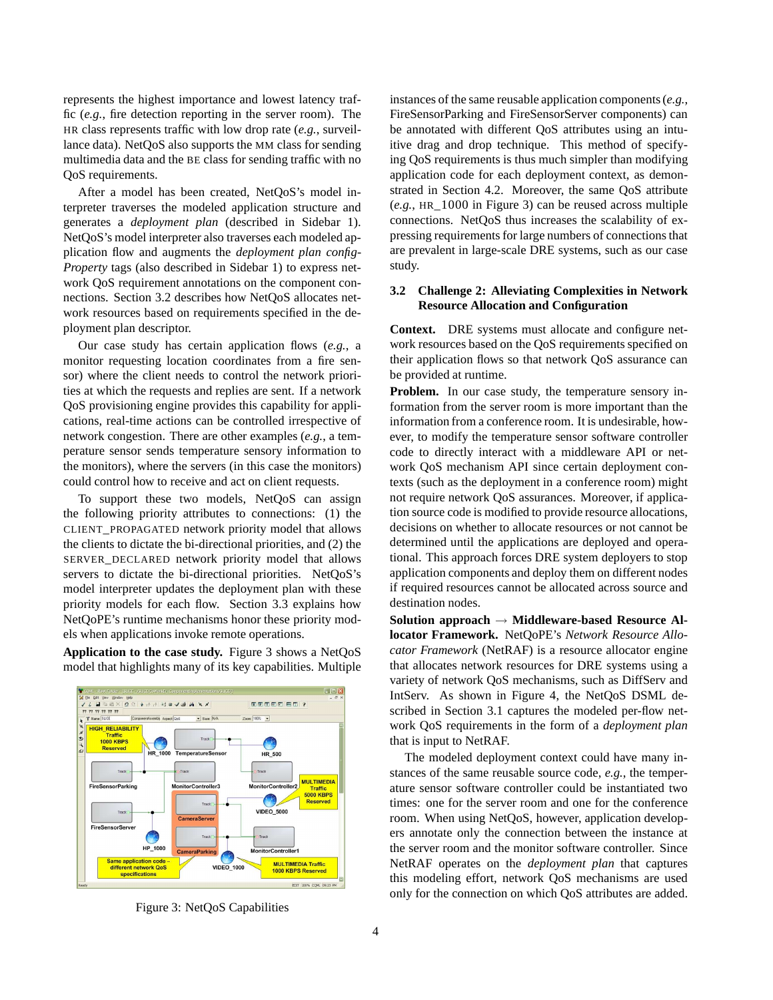represents the highest importance and lowest latency traffic (*e.g.*, fire detection reporting in the server room). The HR class represents traffic with low drop rate (*e.g.*, surveillance data). NetQoS also supports the MM class for sending multimedia data and the BE class for sending traffic with no QoS requirements.

After a model has been created, NetQoS's model interpreter traverses the modeled application structure and generates a *deployment plan* (described in Sidebar 1). NetQoS's model interpreter also traverses each modeled application flow and augments the *deployment plan config-Property* tags (also described in Sidebar 1) to express network QoS requirement annotations on the component connections. Section 3.2 describes how NetQoS allocates network resources based on requirements specified in the deployment plan descriptor.

Our case study has certain application flows (*e.g.*, a monitor requesting location coordinates from a fire sensor) where the client needs to control the network priorities at which the requests and replies are sent. If a network QoS provisioning engine provides this capability for applications, real-time actions can be controlled irrespective of network congestion. There are other examples (*e.g.*, a temperature sensor sends temperature sensory information to the monitors), where the servers (in this case the monitors) could control how to receive and act on client requests.

To support these two models, NetQoS can assign the following priority attributes to connections: (1) the CLIENT\_PROPAGATED network priority model that allows the clients to dictate the bi-directional priorities, and (2) the SERVER\_DECLARED network priority model that allows servers to dictate the bi-directional priorities. NetQoS's model interpreter updates the deployment plan with these priority models for each flow. Section 3.3 explains how NetQoPE's runtime mechanisms honor these priority models when applications invoke remote operations.

**Application to the case study.** Figure 3 shows a NetQoS model that highlights many of its key capabilities. Multiple



Figure 3: NetQoS Capabilities

instances of the same reusable application components(*e.g.*, FireSensorParking and FireSensorServer components) can be annotated with different QoS attributes using an intuitive drag and drop technique. This method of specifying QoS requirements is thus much simpler than modifying application code for each deployment context, as demonstrated in Section 4.2. Moreover, the same QoS attribute (*e.g.*, HR\_1000 in Figure 3) can be reused across multiple connections. NetQoS thus increases the scalability of expressing requirements for large numbers of connections that are prevalent in large-scale DRE systems, such as our case study.

### **3.2 Challenge 2: Alleviating Complexities in Network Resource Allocation and Configuration**

**Context.** DRE systems must allocate and configure network resources based on the QoS requirements specified on their application flows so that network QoS assurance can be provided at runtime.

**Problem.** In our case study, the temperature sensory information from the server room is more important than the information from a conference room. It is undesirable, however, to modify the temperature sensor software controller code to directly interact with a middleware API or network QoS mechanism API since certain deployment contexts (such as the deployment in a conference room) might not require network QoS assurances. Moreover, if application source code is modified to provide resource allocations, decisions on whether to allocate resources or not cannot be determined until the applications are deployed and operational. This approach forces DRE system deployers to stop application components and deploy them on different nodes if required resources cannot be allocated across source and destination nodes.

**Solution approach** → **Middleware-based Resource Allocator Framework.** NetQoPE's *Network Resource Allocator Framework* (NetRAF) is a resource allocator engine that allocates network resources for DRE systems using a variety of network QoS mechanisms, such as DiffServ and IntServ. As shown in Figure 4, the NetQoS DSML described in Section 3.1 captures the modeled per-flow network QoS requirements in the form of a *deployment plan* that is input to NetRAF.

The modeled deployment context could have many instances of the same reusable source code, *e.g.*, the temperature sensor software controller could be instantiated two times: one for the server room and one for the conference room. When using NetQoS, however, application developers annotate only the connection between the instance at the server room and the monitor software controller. Since NetRAF operates on the *deployment plan* that captures this modeling effort, network QoS mechanisms are used only for the connection on which QoS attributes are added.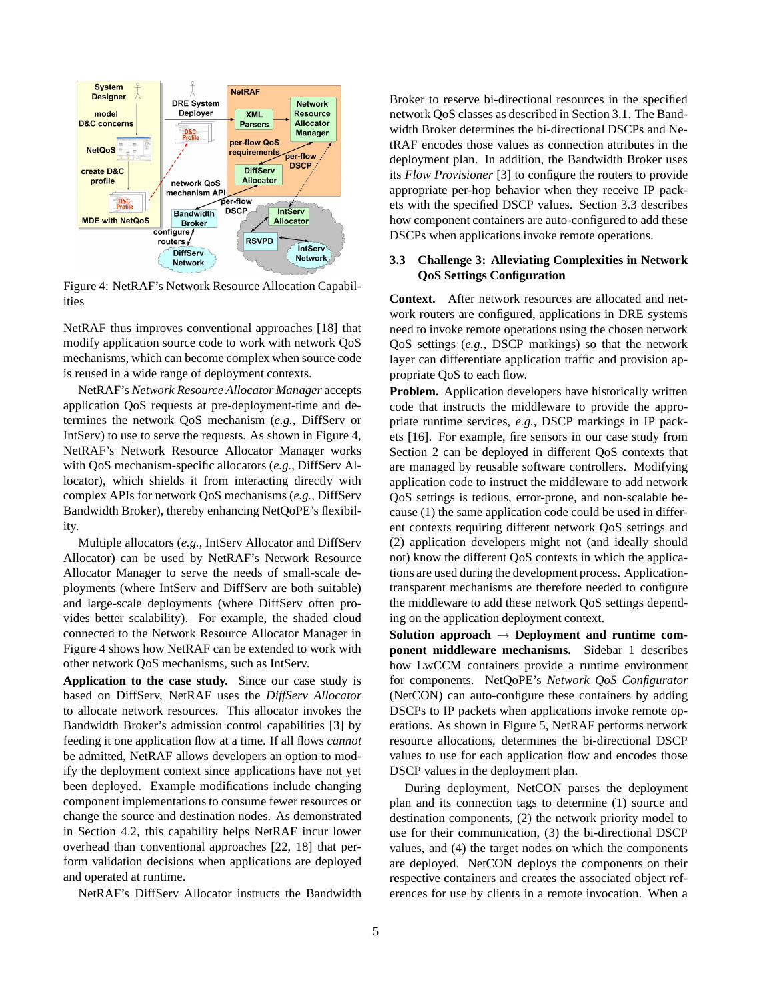

Figure 4: NetRAF's Network Resource Allocation Capabilities

NetRAF thus improves conventional approaches [18] that modify application source code to work with network QoS mechanisms, which can become complex when source code is reused in a wide range of deployment contexts.

NetRAF's *Network Resource Allocator Manager* accepts application QoS requests at pre-deployment-time and determines the network QoS mechanism (*e.g.*, DiffServ or IntServ) to use to serve the requests. As shown in Figure 4, NetRAF's Network Resource Allocator Manager works with QoS mechanism-specific allocators (*e.g.*, DiffServ Allocator), which shields it from interacting directly with complex APIs for network QoS mechanisms (*e.g.*, DiffServ Bandwidth Broker), thereby enhancing NetQoPE's flexibility.

Multiple allocators (*e.g.*, IntServ Allocator and DiffServ Allocator) can be used by NetRAF's Network Resource Allocator Manager to serve the needs of small-scale deployments (where IntServ and DiffServ are both suitable) and large-scale deployments (where DiffServ often provides better scalability). For example, the shaded cloud connected to the Network Resource Allocator Manager in Figure 4 shows how NetRAF can be extended to work with other network QoS mechanisms, such as IntServ.

**Application to the case study.** Since our case study is based on DiffServ, NetRAF uses the *DiffServ Allocator* to allocate network resources. This allocator invokes the Bandwidth Broker's admission control capabilities [3] by feeding it one application flow at a time. If all flows *cannot* be admitted, NetRAF allows developers an option to modify the deployment context since applications have not yet been deployed. Example modifications include changing component implementations to consume fewer resources or change the source and destination nodes. As demonstrated in Section 4.2, this capability helps NetRAF incur lower overhead than conventional approaches [22, 18] that perform validation decisions when applications are deployed and operated at runtime.

NetRAF's DiffServ Allocator instructs the Bandwidth

Broker to reserve bi-directional resources in the specified network QoS classes as described in Section 3.1. The Bandwidth Broker determines the bi-directional DSCPs and NetRAF encodes those values as connection attributes in the deployment plan. In addition, the Bandwidth Broker uses its *Flow Provisioner* [3] to configure the routers to provide appropriate per-hop behavior when they receive IP packets with the specified DSCP values. Section 3.3 describes how component containers are auto-configured to add these DSCPs when applications invoke remote operations.

## **3.3 Challenge 3: Alleviating Complexities in Network QoS Settings Configuration**

**Context.** After network resources are allocated and network routers are configured, applications in DRE systems need to invoke remote operations using the chosen network QoS settings (*e.g.*, DSCP markings) so that the network layer can differentiate application traffic and provision appropriate QoS to each flow.

**Problem.** Application developers have historically written code that instructs the middleware to provide the appropriate runtime services, *e.g.*, DSCP markings in IP packets [16]. For example, fire sensors in our case study from Section 2 can be deployed in different QoS contexts that are managed by reusable software controllers. Modifying application code to instruct the middleware to add network QoS settings is tedious, error-prone, and non-scalable because (1) the same application code could be used in different contexts requiring different network QoS settings and (2) application developers might not (and ideally should not) know the different QoS contexts in which the applications are used during the development process. Applicationtransparent mechanisms are therefore needed to configure the middleware to add these network QoS settings depending on the application deployment context.

**Solution approach** → **Deployment and runtime component middleware mechanisms.** Sidebar 1 describes how LwCCM containers provide a runtime environment for components. NetQoPE's *Network QoS Configurator* (NetCON) can auto-configure these containers by adding DSCPs to IP packets when applications invoke remote operations. As shown in Figure 5, NetRAF performs network resource allocations, determines the bi-directional DSCP values to use for each application flow and encodes those DSCP values in the deployment plan.

During deployment, NetCON parses the deployment plan and its connection tags to determine (1) source and destination components, (2) the network priority model to use for their communication, (3) the bi-directional DSCP values, and (4) the target nodes on which the components are deployed. NetCON deploys the components on their respective containers and creates the associated object references for use by clients in a remote invocation. When a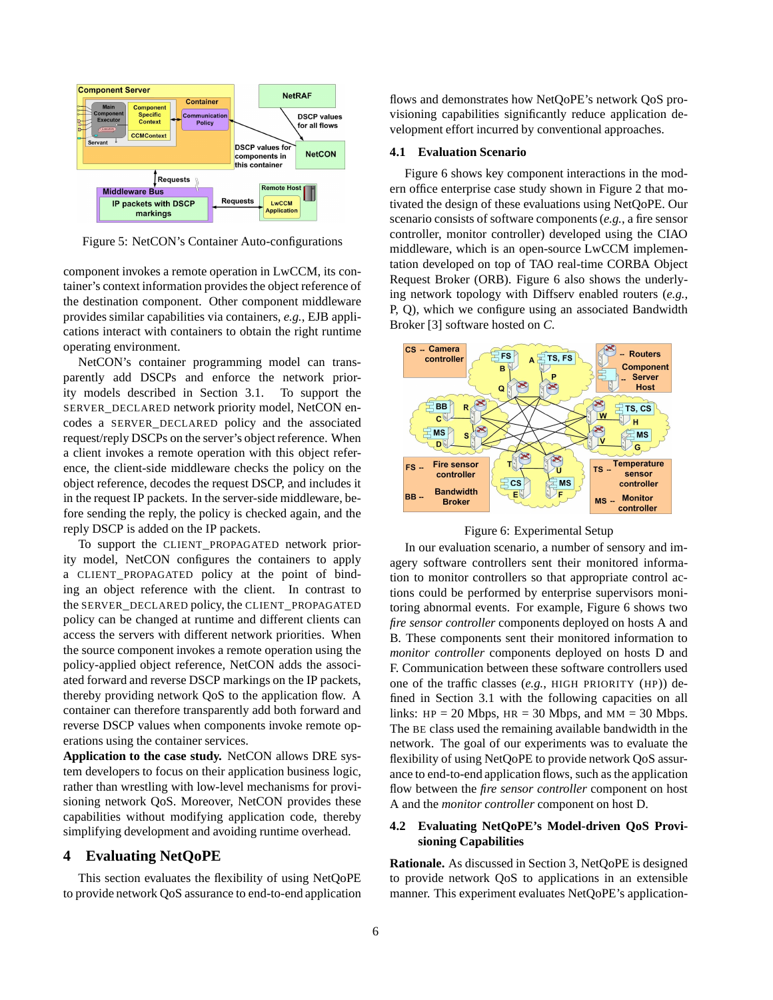

Figure 5: NetCON's Container Auto-configurations

component invokes a remote operation in LwCCM, its container's context information provides the object reference of the destination component. Other component middleware provides similar capabilities via containers, *e.g.*, EJB applications interact with containers to obtain the right runtime operating environment.

NetCON's container programming model can transparently add DSCPs and enforce the network priority models described in Section 3.1. To support the SERVER\_DECLARED network priority model, NetCON encodes a SERVER\_DECLARED policy and the associated request/reply DSCPs on the server's object reference. When a client invokes a remote operation with this object reference, the client-side middleware checks the policy on the object reference, decodes the request DSCP, and includes it in the request IP packets. In the server-side middleware, before sending the reply, the policy is checked again, and the reply DSCP is added on the IP packets.

To support the CLIENT\_PROPAGATED network priority model, NetCON configures the containers to apply a CLIENT\_PROPAGATED policy at the point of binding an object reference with the client. In contrast to the SERVER\_DECLARED policy, the CLIENT\_PROPAGATED policy can be changed at runtime and different clients can access the servers with different network priorities. When the source component invokes a remote operation using the policy-applied object reference, NetCON adds the associated forward and reverse DSCP markings on the IP packets, thereby providing network QoS to the application flow. A container can therefore transparently add both forward and reverse DSCP values when components invoke remote operations using the container services.

**Application to the case study.** NetCON allows DRE system developers to focus on their application business logic, rather than wrestling with low-level mechanisms for provisioning network QoS. Moreover, NetCON provides these capabilities without modifying application code, thereby simplifying development and avoiding runtime overhead.

#### **4 Evaluating NetQoPE**

This section evaluates the flexibility of using NetQoPE to provide network QoS assurance to end-to-end application

flows and demonstrates how NetQoPE's network QoS provisioning capabilities significantly reduce application development effort incurred by conventional approaches.

#### **4.1 Evaluation Scenario**

Figure 6 shows key component interactions in the modern office enterprise case study shown in Figure 2 that motivated the design of these evaluations using NetQoPE. Our scenario consists of software components(*e.g.*, a fire sensor controller, monitor controller) developed using the CIAO middleware, which is an open-source LwCCM implementation developed on top of TAO real-time CORBA Object Request Broker (ORB). Figure 6 also shows the underlying network topology with Diffserv enabled routers (*e.g.*, P, Q), which we configure using an associated Bandwidth Broker [3] software hosted on *C*.



Figure 6: Experimental Setup

In our evaluation scenario, a number of sensory and imagery software controllers sent their monitored information to monitor controllers so that appropriate control actions could be performed by enterprise supervisors monitoring abnormal events. For example, Figure 6 shows two *fire sensor controller* components deployed on hosts A and B. These components sent their monitored information to *monitor controller* components deployed on hosts D and F. Communication between these software controllers used one of the traffic classes (*e.g.*, HIGH PRIORITY (HP)) defined in Section 3.1 with the following capacities on all links:  $HP = 20$  Mbps,  $HR = 30$  Mbps, and  $MM = 30$  Mbps. The BE class used the remaining available bandwidth in the network. The goal of our experiments was to evaluate the flexibility of using NetQoPE to provide network QoS assurance to end-to-end application flows, such as the application flow between the *fire sensor controller* component on host A and the *monitor controller* component on host D.

#### **4.2 Evaluating NetQoPE's Model-driven QoS Provisioning Capabilities**

**Rationale.** As discussed in Section 3, NetQoPE is designed to provide network QoS to applications in an extensible manner. This experiment evaluates NetQoPE's application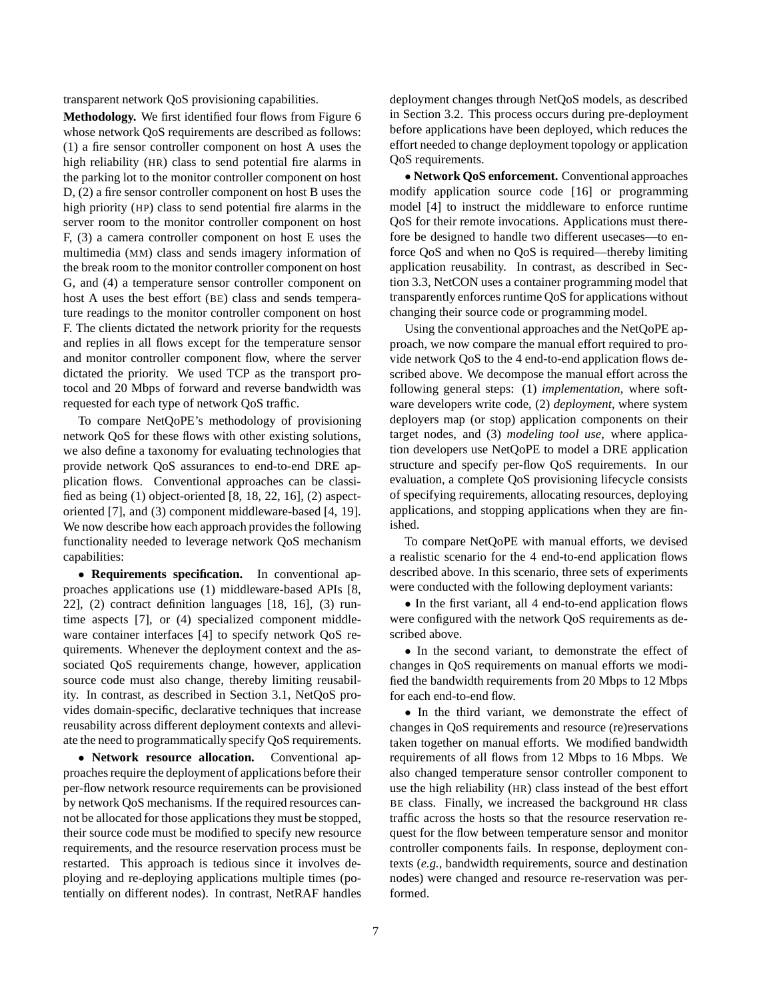transparent network QoS provisioning capabilities.

Methodology. We first identified four flows from Figure 6 whose network QoS requirements are described as follows: (1) a fire sensor controller component on host A uses the high reliability (HR) class to send potential fire alarms in the parking lot to the monitor controller component on host D, (2) a fire sensor controller component on host B uses the high priority (HP) class to send potential fire alarms in the server room to the monitor controller component on host F, (3) a camera controller component on host E uses the multimedia (MM) class and sends imagery information of the break room to the monitor controller component on host G, and (4) a temperature sensor controller component on host A uses the best effort (BE) class and sends temperature readings to the monitor controller component on host F. The clients dictated the network priority for the requests and replies in all flows except for the temperature sensor and monitor controller component flow, where the server dictated the priority. We used TCP as the transport protocol and 20 Mbps of forward and reverse bandwidth was requested for each type of network QoS traffic.

To compare NetQoPE's methodology of provisioning network QoS for these flows with other existing solutions, we also define a taxonomy for evaluating technologies that provide network QoS assurances to end-to-end DRE application flows. Conventional approaches can be classified as being  $(1)$  object-oriented  $[8, 18, 22, 16]$ ,  $(2)$  aspectoriented [7], and (3) component middleware-based [4, 19]. We now describe how each approach provides the following functionality needed to leverage network QoS mechanism capabilities:

• **Requirements specification.** In conventional approaches applications use (1) middleware-based APIs [8, 22], (2) contract definition languages [18, 16], (3) runtime aspects [7], or (4) specialized component middleware container interfaces [4] to specify network QoS requirements. Whenever the deployment context and the associated QoS requirements change, however, application source code must also change, thereby limiting reusability. In contrast, as described in Section 3.1, NetQoS provides domain-specific, declarative techniques that increase reusability across different deployment contexts and alleviate the need to programmatically specify QoS requirements.

• **Network resource allocation.** Conventional approaches require the deployment of applications before their per-flow network resource requirements can be provisioned by network QoS mechanisms. If the required resources cannot be allocated for those applicationsthey must be stopped, their source code must be modified to specify new resource requirements, and the resource reservation process must be restarted. This approach is tedious since it involves deploying and re-deploying applications multiple times (potentially on different nodes). In contrast, NetRAF handles

deployment changes through NetQoS models, as described in Section 3.2. This process occurs during pre-deployment before applications have been deployed, which reduces the effort needed to change deployment topology or application QoS requirements.

• **Network QoS enforcement.** Conventional approaches modify application source code [16] or programming model [4] to instruct the middleware to enforce runtime QoS for their remote invocations. Applications must therefore be designed to handle two different usecases—to enforce QoS and when no QoS is required—thereby limiting application reusability. In contrast, as described in Section 3.3, NetCON uses a container programming model that transparently enforces runtime QoS for applications without changing their source code or programming model.

Using the conventional approaches and the NetQoPE approach, we now compare the manual effort required to provide network QoS to the 4 end-to-end application flows described above. We decompose the manual effort across the following general steps: (1) *implementation*, where software developers write code, (2) *deployment*, where system deployers map (or stop) application components on their target nodes, and (3) *modeling tool use*, where application developers use NetQoPE to model a DRE application structure and specify per-flow QoS requirements. In our evaluation, a complete QoS provisioning lifecycle consists of specifying requirements, allocating resources, deploying applications, and stopping applications when they are finished.

To compare NetQoPE with manual efforts, we devised a realistic scenario for the 4 end-to-end application flows described above. In this scenario, three sets of experiments were conducted with the following deployment variants:

• In the first variant, all 4 end-to-end application flows were configured with the network QoS requirements as described above.

• In the second variant, to demonstrate the effect of changes in QoS requirements on manual efforts we modified the bandwidth requirements from 20 Mbps to 12 Mbps for each end-to-end flow.

• In the third variant, we demonstrate the effect of changes in QoS requirements and resource (re)reservations taken together on manual efforts. We modified bandwidth requirements of all flows from 12 Mbps to 16 Mbps. We also changed temperature sensor controller component to use the high reliability (HR) class instead of the best effort BE class. Finally, we increased the background HR class traffic across the hosts so that the resource reservation request for the flow between temperature sensor and monitor controller components fails. In response, deployment contexts (*e.g.*, bandwidth requirements, source and destination nodes) were changed and resource re-reservation was performed.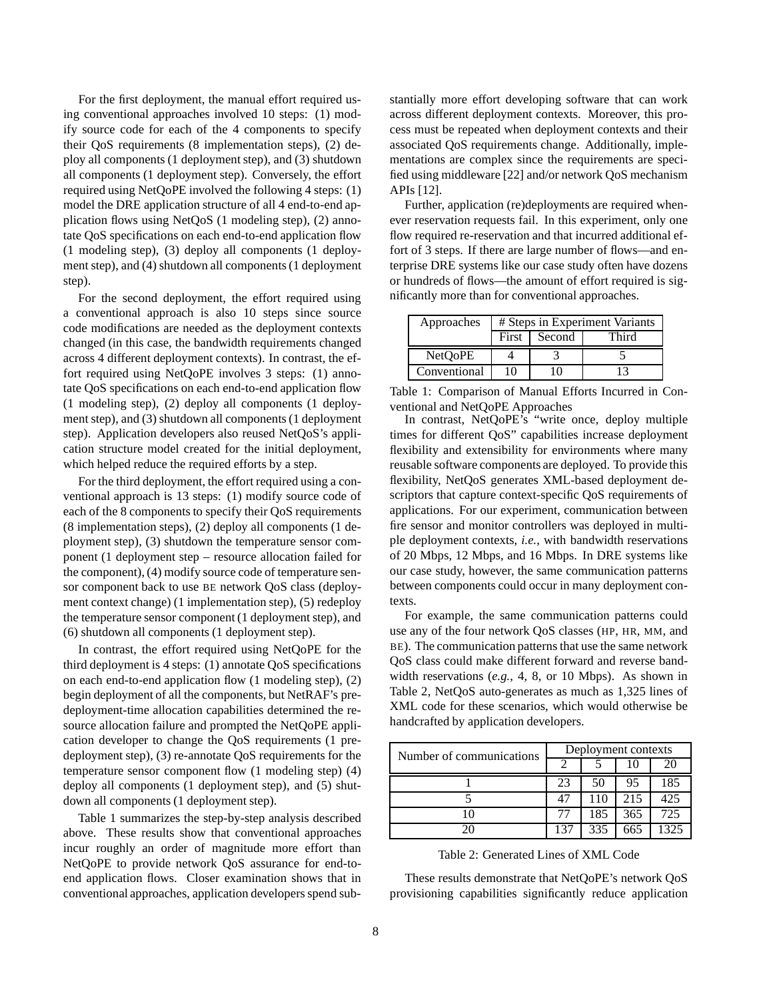For the first deployment, the manual effort required using conventional approaches involved 10 steps: (1) modify source code for each of the 4 components to specify their QoS requirements (8 implementation steps), (2) deploy all components (1 deployment step), and (3) shutdown all components (1 deployment step). Conversely, the effort required using NetQoPE involved the following 4 steps: (1) model the DRE application structure of all 4 end-to-end application flows using NetQoS (1 modeling step), (2) annotate QoS specifications on each end-to-end application flow (1 modeling step), (3) deploy all components (1 deployment step), and (4) shutdown all components(1 deployment step).

For the second deployment, the effort required using a conventional approach is also 10 steps since source code modifications are needed as the deployment contexts changed (in this case, the bandwidth requirements changed across 4 different deployment contexts). In contrast, the effort required using NetQoPE involves 3 steps: (1) annotate QoS specifications on each end-to-end application flow (1 modeling step), (2) deploy all components (1 deployment step), and (3) shutdown all components(1 deployment step). Application developers also reused NetQoS's application structure model created for the initial deployment, which helped reduce the required efforts by a step.

For the third deployment, the effort required using a conventional approach is 13 steps: (1) modify source code of each of the 8 components to specify their QoS requirements (8 implementation steps), (2) deploy all components (1 deployment step), (3) shutdown the temperature sensor component (1 deployment step – resource allocation failed for the component), (4) modify source code of temperature sensor component back to use BE network QoS class (deployment context change) (1 implementation step), (5) redeploy the temperature sensor component (1 deployment step), and (6) shutdown all components (1 deployment step).

In contrast, the effort required using NetQoPE for the third deployment is 4 steps: (1) annotate QoS specifications on each end-to-end application flow (1 modeling step), (2) begin deployment of all the components, but NetRAF's predeployment-time allocation capabilities determined the resource allocation failure and prompted the NetQoPE application developer to change the QoS requirements (1 predeployment step), (3) re-annotate QoS requirements for the temperature sensor component flow (1 modeling step) (4) deploy all components (1 deployment step), and (5) shutdown all components (1 deployment step).

Table 1 summarizes the step-by-step analysis described above. These results show that conventional approaches incur roughly an order of magnitude more effort than NetQoPE to provide network QoS assurance for end-toend application flows. Closer examination shows that in conventional approaches, application developers spend substantially more effort developing software that can work across different deployment contexts. Moreover, this process must be repeated when deployment contexts and their associated QoS requirements change. Additionally, implementations are complex since the requirements are specified using middleware [22] and/or network QoS mechanism APIs [12].

Further, application (re)deployments are required whenever reservation requests fail. In this experiment, only one flow required re-reservation and that incurred additional effort of 3 steps. If there are large number of flows—and enterprise DRE systems like our case study often have dozens or hundreds of flows—the amount of effort required is significantly more than for conventional approaches.

| Approaches     | # Steps in Experiment Variants |        |       |  |  |
|----------------|--------------------------------|--------|-------|--|--|
|                | First                          | Second | Third |  |  |
| <b>NetOoPE</b> |                                |        |       |  |  |
| Conventional   | 10                             |        |       |  |  |

Table 1: Comparison of Manual Efforts Incurred in Conventional and NetQoPE Approaches

In contrast, NetQoPE's "write once, deploy multiple times for different QoS" capabilities increase deployment flexibility and extensibility for environments where many reusable software components are deployed. To provide this flexibility, NetQoS generates XML-based deployment descriptors that capture context-specific QoS requirements of applications. For our experiment, communication between fire sensor and monitor controllers was deployed in multiple deployment contexts, *i.e.*, with bandwidth reservations of 20 Mbps, 12 Mbps, and 16 Mbps. In DRE systems like our case study, however, the same communication patterns between components could occur in many deployment contexts.

For example, the same communication patterns could use any of the four network QoS classes (HP, HR, MM, and BE). The communication patterns that use the same network QoS class could make different forward and reverse bandwidth reservations (*e.g.*, 4, 8, or 10 Mbps). As shown in Table 2, NetQoS auto-generates as much as 1,325 lines of XML code for these scenarios, which would otherwise be handcrafted by application developers.

| Number of communications | Deployment contexts |     |     |      |  |
|--------------------------|---------------------|-----|-----|------|--|
|                          |                     |     |     |      |  |
|                          | 23                  | 50  | 95  | 185  |  |
|                          |                     | 110 | 215 | 425  |  |
|                          | 77                  | 185 | 365 | 725  |  |
|                          | 137                 | 335 | 665 | 1325 |  |

Table 2: Generated Lines of XML Code

These results demonstrate that NetQoPE's network QoS provisioning capabilities significantly reduce application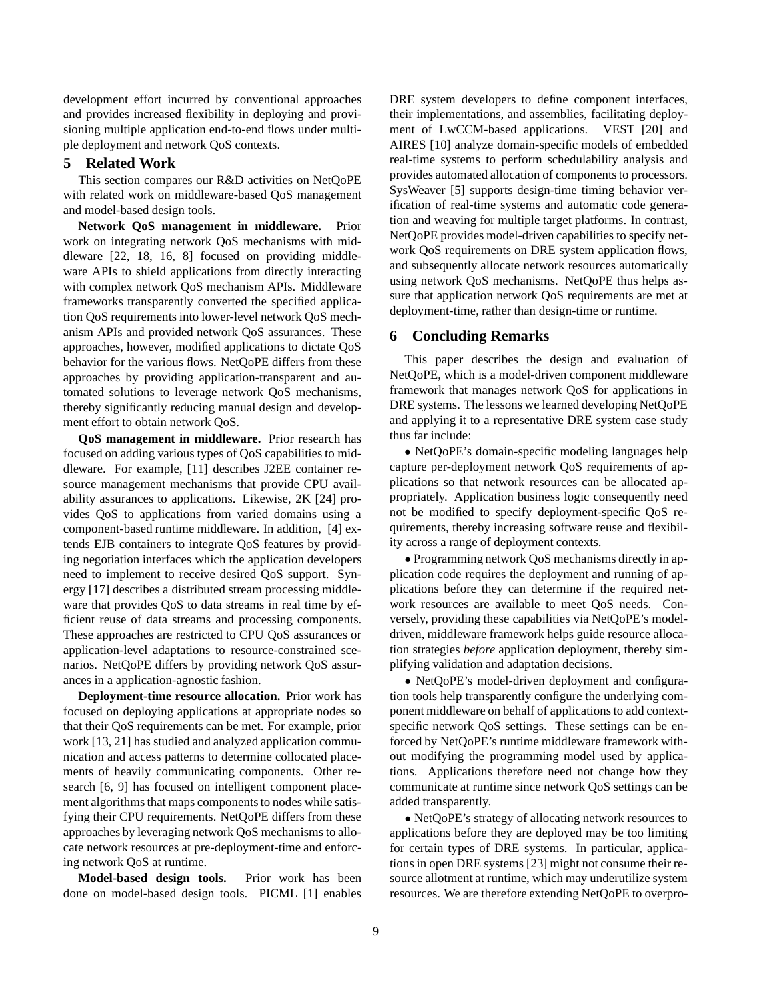development effort incurred by conventional approaches and provides increased flexibility in deploying and provisioning multiple application end-to-end flows under multiple deployment and network QoS contexts.

#### **5 Related Work**

This section compares our R&D activities on NetQoPE with related work on middleware-based QoS management and model-based design tools.

**Network QoS management in middleware.** Prior work on integrating network QoS mechanisms with middleware [22, 18, 16, 8] focused on providing middleware APIs to shield applications from directly interacting with complex network QoS mechanism APIs. Middleware frameworks transparently converted the specified application QoS requirements into lower-level network QoS mechanism APIs and provided network QoS assurances. These approaches, however, modified applications to dictate QoS behavior for the various flows. NetQoPE differs from these approaches by providing application-transparent and automated solutions to leverage network QoS mechanisms, thereby significantly reducing manual design and development effort to obtain network QoS.

**QoS management in middleware.** Prior research has focused on adding various types of QoS capabilities to middleware. For example, [11] describes J2EE container resource management mechanisms that provide CPU availability assurances to applications. Likewise, 2K [24] provides QoS to applications from varied domains using a component-based runtime middleware. In addition, [4] extends EJB containers to integrate QoS features by providing negotiation interfaces which the application developers need to implement to receive desired QoS support. Synergy [17] describes a distributed stream processing middleware that provides QoS to data streams in real time by efficient reuse of data streams and processing components. These approaches are restricted to CPU QoS assurances or application-level adaptations to resource-constrained scenarios. NetQoPE differs by providing network QoS assurances in a application-agnostic fashion.

**Deployment-time resource allocation.** Prior work has focused on deploying applications at appropriate nodes so that their QoS requirements can be met. For example, prior work [13, 21] has studied and analyzed application communication and access patterns to determine collocated placements of heavily communicating components. Other research [6, 9] has focused on intelligent component placement algorithms that maps components to nodes while satisfying their CPU requirements. NetQoPE differs from these approaches by leveraging network QoS mechanisms to allocate network resources at pre-deployment-time and enforcing network QoS at runtime.

**Model-based design tools.** Prior work has been done on model-based design tools. PICML [1] enables DRE system developers to define component interfaces, their implementations, and assemblies, facilitating deployment of LwCCM-based applications. VEST [20] and AIRES [10] analyze domain-specific models of embedded real-time systems to perform schedulability analysis and provides automated allocation of components to processors. SysWeaver [5] supports design-time timing behavior verification of real-time systems and automatic code generation and weaving for multiple target platforms. In contrast, NetQoPE provides model-driven capabilities to specify network QoS requirements on DRE system application flows, and subsequently allocate network resources automatically using network QoS mechanisms. NetQoPE thus helps assure that application network QoS requirements are met at deployment-time, rather than design-time or runtime.

## **6 Concluding Remarks**

This paper describes the design and evaluation of NetQoPE, which is a model-driven component middleware framework that manages network QoS for applications in DRE systems. The lessons we learned developing NetQoPE and applying it to a representative DRE system case study thus far include:

• NetQoPE's domain-specific modeling languages help capture per-deployment network QoS requirements of applications so that network resources can be allocated appropriately. Application business logic consequently need not be modified to specify deployment-specific QoS requirements, thereby increasing software reuse and flexibility across a range of deployment contexts.

• Programming network QoS mechanisms directly in application code requires the deployment and running of applications before they can determine if the required network resources are available to meet QoS needs. Conversely, providing these capabilities via NetQoPE's modeldriven, middleware framework helps guide resource allocation strategies *before* application deployment, thereby simplifying validation and adaptation decisions.

• NetOoPE's model-driven deployment and configuration tools help transparently configure the underlying component middleware on behalf of applications to add contextspecific network QoS settings. These settings can be enforced by NetQoPE's runtime middleware framework without modifying the programming model used by applications. Applications therefore need not change how they communicate at runtime since network QoS settings can be added transparently.

• NetQoPE's strategy of allocating network resources to applications before they are deployed may be too limiting for certain types of DRE systems. In particular, applications in open DRE systems [23] might not consume their resource allotment at runtime, which may underutilize system resources. We are therefore extending NetQoPE to overpro-